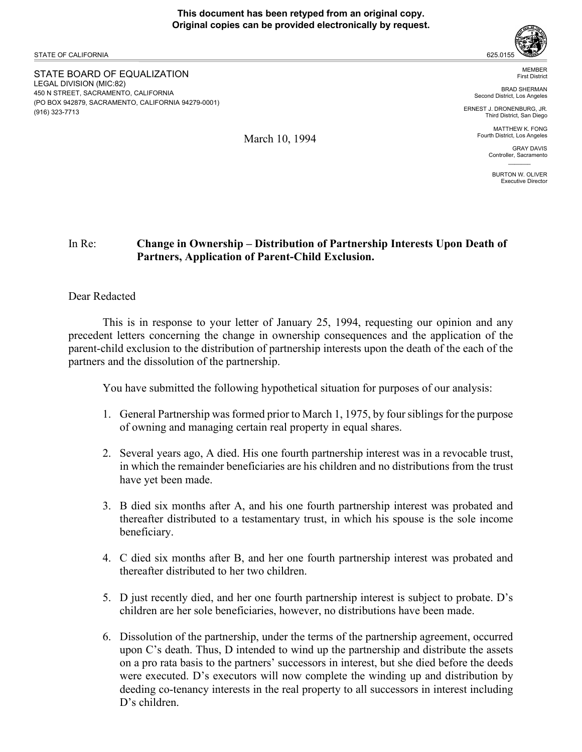STATE OF CALIFORNIA

STATE BOARD OF EQUALIZATION LEGAL DIVISION (MIC:82) 450 N STREET, SACRAMENTO, CALIFORNIA (PO BOX 942879, SACRAMENTO, CALIFORNIA 94279-0001) (916) 323-7713



MEMBER First District

BRAD SHERMAN Second District, Los Angeles

ERNEST J. DRONENBURG, JR. Third District, San Diego

> MATTHEW K. FONG Fourth District, Los Angeles

> > GRAY DAVIS Controller, Sacramento  $\mathcal{L}=\mathcal{L}$

BURTON W. OLIVER Executive Director

# In Re: **Change in Ownership – Distribution of Partnership Interests Upon Death of Partners, Application of Parent-Child Exclusion.**

## Dear Redacted

This is in response to your letter of January 25, 1994, requesting our opinion and any precedent letters concerning the change in ownership consequences and the application of the parent-child exclusion to the distribution of partnership interests upon the death of the each of the partners and the dissolution of the partnership.

You have submitted the following hypothetical situation for purposes of our analysis:

- 1. General Partnership was formed prior to March 1, 1975, by four siblings for the purpose of owning and managing certain real property in equal shares.
- 2. Several years ago, A died. His one fourth partnership interest was in a revocable trust, in which the remainder beneficiaries are his children and no distributions from the trust have yet been made.
- 3. B died six months after A, and his one fourth partnership interest was probated and thereafter distributed to a testamentary trust, in which his spouse is the sole income beneficiary.
- 4. C died six months after B, and her one fourth partnership interest was probated and thereafter distributed to her two children.
- 5. D just recently died, and her one fourth partnership interest is subject to probate. D's children are her sole beneficiaries, however, no distributions have been made.
- 6. Dissolution of the partnership, under the terms of the partnership agreement, occurred upon C's death. Thus, D intended to wind up the partnership and distribute the assets on a pro rata basis to the partners' successors in interest, but she died before the deeds were executed. D's executors will now complete the winding up and distribution by deeding co-tenancy interests in the real property to all successors in interest including D's children.

March 10, 1994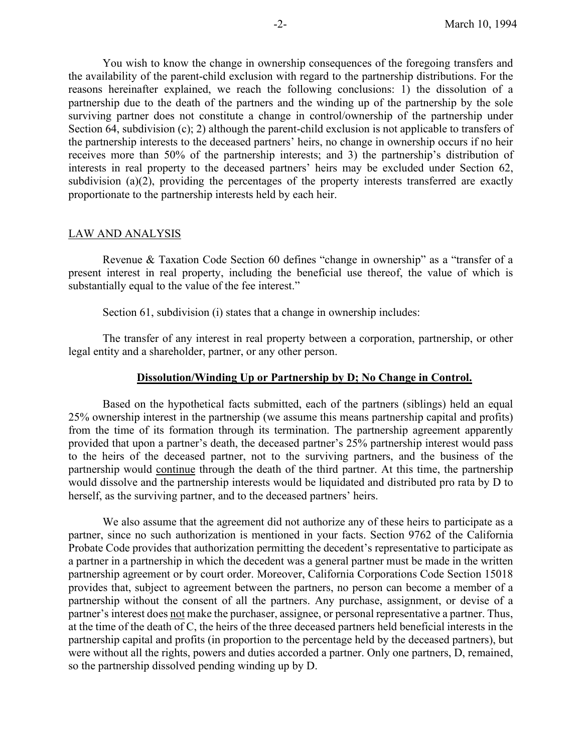You wish to know the change in ownership consequences of the foregoing transfers and the availability of the parent-child exclusion with regard to the partnership distributions. For the reasons hereinafter explained, we reach the following conclusions: 1) the dissolution of a partnership due to the death of the partners and the winding up of the partnership by the sole surviving partner does not constitute a change in control/ownership of the partnership under Section 64, subdivision (c); 2) although the parent-child exclusion is not applicable to transfers of the partnership interests to the deceased partners' heirs, no change in ownership occurs if no heir receives more than 50% of the partnership interests; and 3) the partnership's distribution of interests in real property to the deceased partners' heirs may be excluded under Section 62, subdivision (a)(2), providing the percentages of the property interests transferred are exactly proportionate to the partnership interests held by each heir.

#### LAW AND ANALYSIS

Revenue & Taxation Code Section 60 defines "change in ownership" as a "transfer of a present interest in real property, including the beneficial use thereof, the value of which is substantially equal to the value of the fee interest."

Section 61, subdivision (i) states that a change in ownership includes:

The transfer of any interest in real property between a corporation, partnership, or other legal entity and a shareholder, partner, or any other person.

#### **Dissolution/Winding Up or Partnership by D; No Change in Control.**

Based on the hypothetical facts submitted, each of the partners (siblings) held an equal 25% ownership interest in the partnership (we assume this means partnership capital and profits) from the time of its formation through its termination. The partnership agreement apparently provided that upon a partner's death, the deceased partner's 25% partnership interest would pass to the heirs of the deceased partner, not to the surviving partners, and the business of the partnership would continue through the death of the third partner. At this time, the partnership would dissolve and the partnership interests would be liquidated and distributed pro rata by D to herself, as the surviving partner, and to the deceased partners' heirs.

We also assume that the agreement did not authorize any of these heirs to participate as a partner, since no such authorization is mentioned in your facts. Section 9762 of the California Probate Code provides that authorization permitting the decedent's representative to participate as a partner in a partnership in which the decedent was a general partner must be made in the written partnership agreement or by court order. Moreover, California Corporations Code Section 15018 provides that, subject to agreement between the partners, no person can become a member of a partnership without the consent of all the partners. Any purchase, assignment, or devise of a partner's interest does not make the purchaser, assignee, or personal representative a partner. Thus, at the time of the death of C, the heirs of the three deceased partners held beneficial interests in the partnership capital and profits (in proportion to the percentage held by the deceased partners), but were without all the rights, powers and duties accorded a partner. Only one partners, D, remained, so the partnership dissolved pending winding up by D.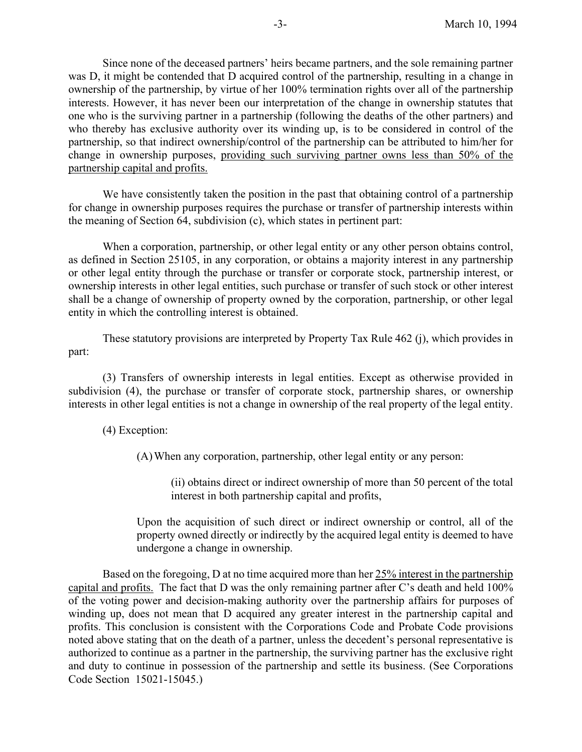Since none of the deceased partners' heirs became partners, and the sole remaining partner was D, it might be contended that D acquired control of the partnership, resulting in a change in ownership of the partnership, by virtue of her 100% termination rights over all of the partnership interests. However, it has never been our interpretation of the change in ownership statutes that one who is the surviving partner in a partnership (following the deaths of the other partners) and who thereby has exclusive authority over its winding up, is to be considered in control of the partnership, so that indirect ownership/control of the partnership can be attributed to him/her for change in ownership purposes, providing such surviving partner owns less than 50% of the partnership capital and profits.

We have consistently taken the position in the past that obtaining control of a partnership for change in ownership purposes requires the purchase or transfer of partnership interests within the meaning of Section 64, subdivision (c), which states in pertinent part:

When a corporation, partnership, or other legal entity or any other person obtains control, as defined in Section 25105, in any corporation, or obtains a majority interest in any partnership or other legal entity through the purchase or transfer or corporate stock, partnership interest, or ownership interests in other legal entities, such purchase or transfer of such stock or other interest shall be a change of ownership of property owned by the corporation, partnership, or other legal entity in which the controlling interest is obtained.

These statutory provisions are interpreted by Property Tax Rule 462 (j), which provides in part:

(3) Transfers of ownership interests in legal entities. Except as otherwise provided in subdivision (4), the purchase or transfer of corporate stock, partnership shares, or ownership interests in other legal entities is not a change in ownership of the real property of the legal entity.

#### (4) Exception:

(A)When any corporation, partnership, other legal entity or any person:

(ii) obtains direct or indirect ownership of more than 50 percent of the total interest in both partnership capital and profits,

Upon the acquisition of such direct or indirect ownership or control, all of the property owned directly or indirectly by the acquired legal entity is deemed to have undergone a change in ownership.

Based on the foregoing, D at no time acquired more than her 25% interest in the partnership capital and profits. The fact that D was the only remaining partner after C's death and held 100% of the voting power and decision-making authority over the partnership affairs for purposes of winding up, does not mean that D acquired any greater interest in the partnership capital and profits. This conclusion is consistent with the Corporations Code and Probate Code provisions noted above stating that on the death of a partner, unless the decedent's personal representative is authorized to continue as a partner in the partnership, the surviving partner has the exclusive right and duty to continue in possession of the partnership and settle its business. (See Corporations Code Section 15021-15045.)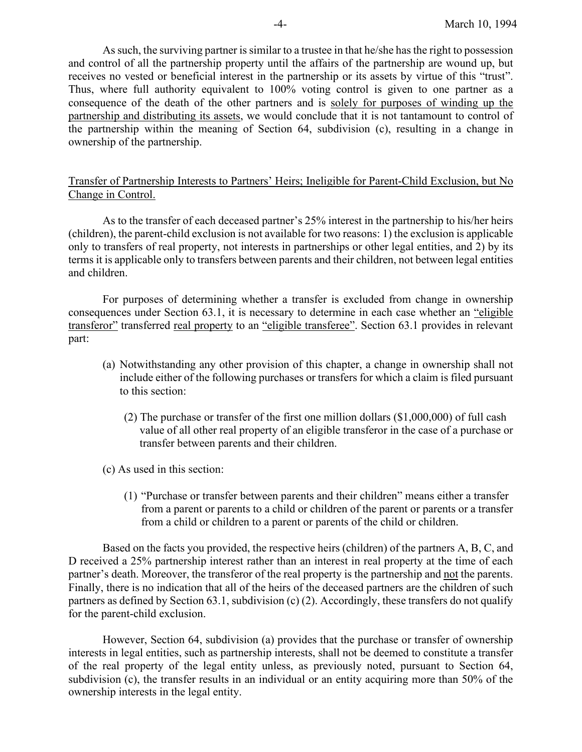As such, the surviving partner is similar to a trustee in that he/she has the right to possession and control of all the partnership property until the affairs of the partnership are wound up, but receives no vested or beneficial interest in the partnership or its assets by virtue of this "trust". Thus, where full authority equivalent to 100% voting control is given to one partner as a consequence of the death of the other partners and is solely for purposes of winding up the partnership and distributing its assets, we would conclude that it is not tantamount to control of the partnership within the meaning of Section 64, subdivision (c), resulting in a change in ownership of the partnership.

### Transfer of Partnership Interests to Partners' Heirs; Ineligible for Parent-Child Exclusion, but No Change in Control.

As to the transfer of each deceased partner's 25% interest in the partnership to his/her heirs (children), the parent-child exclusion is not available for two reasons: 1) the exclusion is applicable only to transfers of real property, not interests in partnerships or other legal entities, and 2) by its terms it is applicable only to transfers between parents and their children, not between legal entities and children.

For purposes of determining whether a transfer is excluded from change in ownership consequences under Section 63.1, it is necessary to determine in each case whether an "eligible transferor" transferred real property to an "eligible transferee". Section 63.1 provides in relevant part:

- (a) Notwithstanding any other provision of this chapter, a change in ownership shall not include either of the following purchases or transfers for which a claim is filed pursuant to this section:
	- (2) The purchase or transfer of the first one million dollars (\$1,000,000) of full cash value of all other real property of an eligible transferor in the case of a purchase or transfer between parents and their children.
- (c) As used in this section:
	- (1) "Purchase or transfer between parents and their children" means either a transfer from a parent or parents to a child or children of the parent or parents or a transfer from a child or children to a parent or parents of the child or children.

Based on the facts you provided, the respective heirs (children) of the partners A, B, C, and D received a 25% partnership interest rather than an interest in real property at the time of each partner's death. Moreover, the transferor of the real property is the partnership and not the parents. Finally, there is no indication that all of the heirs of the deceased partners are the children of such partners as defined by Section 63.1, subdivision (c) (2). Accordingly, these transfers do not qualify for the parent-child exclusion.

However, Section 64, subdivision (a) provides that the purchase or transfer of ownership interests in legal entities, such as partnership interests, shall not be deemed to constitute a transfer of the real property of the legal entity unless, as previously noted, pursuant to Section 64, subdivision (c), the transfer results in an individual or an entity acquiring more than 50% of the ownership interests in the legal entity.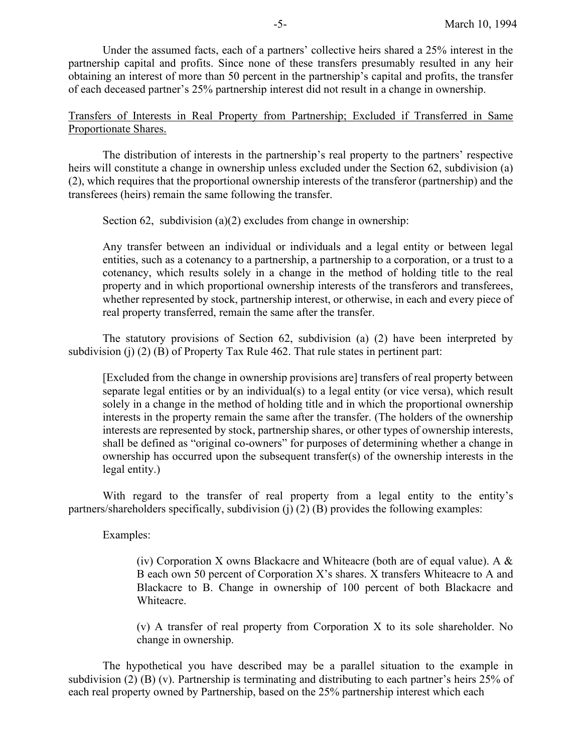Under the assumed facts, each of a partners' collective heirs shared a 25% interest in the partnership capital and profits. Since none of these transfers presumably resulted in any heir obtaining an interest of more than 50 percent in the partnership's capital and profits, the transfer of each deceased partner's 25% partnership interest did not result in a change in ownership.

Transfers of Interests in Real Property from Partnership; Excluded if Transferred in Same Proportionate Shares.

The distribution of interests in the partnership's real property to the partners' respective heirs will constitute a change in ownership unless excluded under the Section 62, subdivision (a) (2), which requires that the proportional ownership interests of the transferor (partnership) and the transferees (heirs) remain the same following the transfer.

Section 62, subdivision (a)(2) excludes from change in ownership:

Any transfer between an individual or individuals and a legal entity or between legal entities, such as a cotenancy to a partnership, a partnership to a corporation, or a trust to a cotenancy, which results solely in a change in the method of holding title to the real property and in which proportional ownership interests of the transferors and transferees, whether represented by stock, partnership interest, or otherwise, in each and every piece of real property transferred, remain the same after the transfer.

The statutory provisions of Section 62, subdivision (a) (2) have been interpreted by subdivision (j)  $(2)$  (B) of Property Tax Rule 462. That rule states in pertinent part:

[Excluded from the change in ownership provisions are] transfers of real property between separate legal entities or by an individual(s) to a legal entity (or vice versa), which result solely in a change in the method of holding title and in which the proportional ownership interests in the property remain the same after the transfer. (The holders of the ownership interests are represented by stock, partnership shares, or other types of ownership interests, shall be defined as "original co-owners" for purposes of determining whether a change in ownership has occurred upon the subsequent transfer(s) of the ownership interests in the legal entity.)

With regard to the transfer of real property from a legal entity to the entity's partners/shareholders specifically, subdivision (j) (2) (B) provides the following examples:

Examples:

(iv) Corporation X owns Blackacre and Whiteacre (both are of equal value). A  $\&$ B each own 50 percent of Corporation X's shares. X transfers Whiteacre to A and Blackacre to B. Change in ownership of 100 percent of both Blackacre and Whiteacre.

(v) A transfer of real property from Corporation X to its sole shareholder. No change in ownership.

The hypothetical you have described may be a parallel situation to the example in subdivision (2) (B) (v). Partnership is terminating and distributing to each partner's heirs 25% of each real property owned by Partnership, based on the 25% partnership interest which each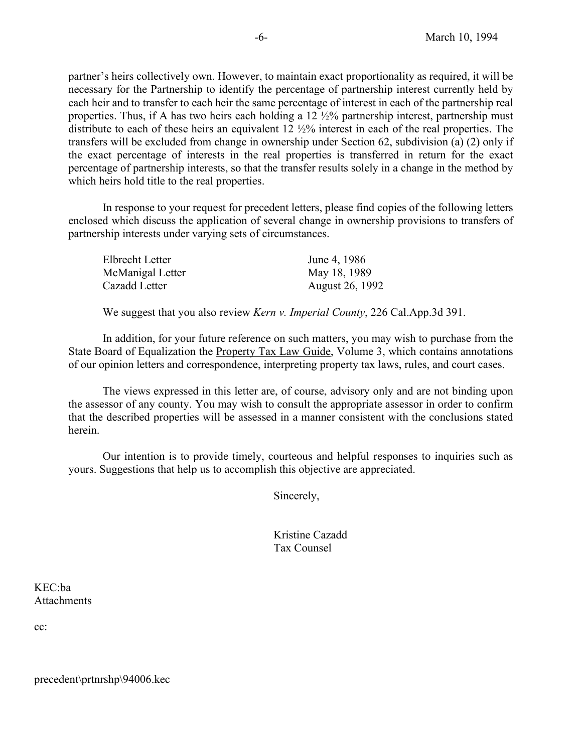partner's heirs collectively own. However, to maintain exact proportionality as required, it will be necessary for the Partnership to identify the percentage of partnership interest currently held by each heir and to transfer to each heir the same percentage of interest in each of the partnership real properties. Thus, if A has two heirs each holding a 12 ½% partnership interest, partnership must distribute to each of these heirs an equivalent 12 ½% interest in each of the real properties. The transfers will be excluded from change in ownership under Section 62, subdivision (a) (2) only if the exact percentage of interests in the real properties is transferred in return for the exact percentage of partnership interests, so that the transfer results solely in a change in the method by which heirs hold title to the real properties.

In response to your request for precedent letters, please find copies of the following letters enclosed which discuss the application of several change in ownership provisions to transfers of partnership interests under varying sets of circumstances.

| Elbrecht Letter  | June 4, 1986    |
|------------------|-----------------|
| McManigal Letter | May 18, 1989    |
| Cazadd Letter    | August 26, 1992 |

We suggest that you also review *Kern v. Imperial County*, 226 Cal.App.3d 391.

In addition, for your future reference on such matters, you may wish to purchase from the State Board of Equalization the Property Tax Law Guide, Volume 3, which contains annotations of our opinion letters and correspondence, interpreting property tax laws, rules, and court cases.

The views expressed in this letter are, of course, advisory only and are not binding upon the assessor of any county. You may wish to consult the appropriate assessor in order to confirm that the described properties will be assessed in a manner consistent with the conclusions stated herein.

Our intention is to provide timely, courteous and helpful responses to inquiries such as yours. Suggestions that help us to accomplish this objective are appreciated.

Sincerely,

Kristine Cazadd Tax Counsel

KEC:ba **Attachments** 

cc:

precedent\prtnrshp\94006.kec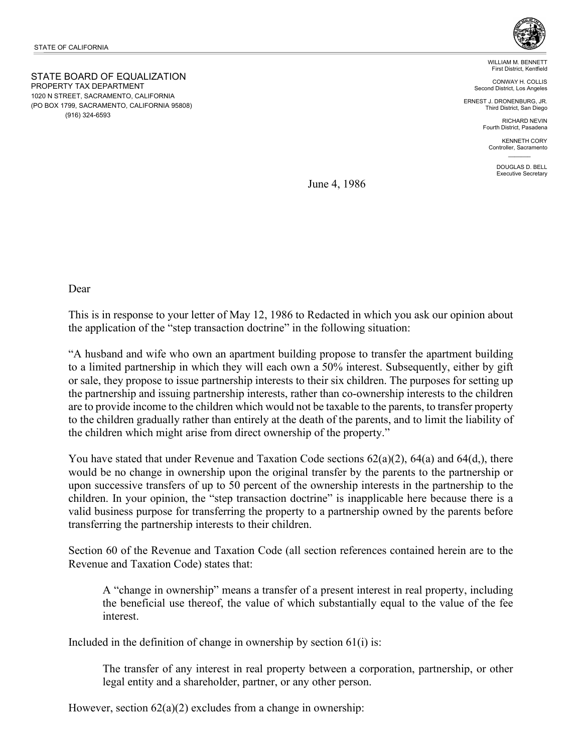STATE BOARD OF EQUALIZATION PROPERTY TAX DEPARTMENT 1020 N STREET, SACRAMENTO, CALIFORNIA (PO BOX 1799, SACRAMENTO, CALIFORNIA 95808) (916) 324-6593



WILLIAM M. BENNETT First District, Kentfield

CONWAY H. COLLIS Second District, Los Angeles

ERNEST J. DRONENBURG, JR. Third District, San Diego

> RICHARD NEVIN Fourth District, Pasadena

KENNETH CORY Controller, Sacramento  $\mathcal{L}=\mathcal{L}$ 

> DOUGLAS D. BELL Executive Secretary

June 4, 1986

Dear

This is in response to your letter of May 12, 1986 to Redacted in which you ask our opinion about the application of the "step transaction doctrine" in the following situation:

"A husband and wife who own an apartment building propose to transfer the apartment building to a limited partnership in which they will each own a 50% interest. Subsequently, either by gift or sale, they propose to issue partnership interests to their six children. The purposes for setting up the partnership and issuing partnership interests, rather than co-ownership interests to the children are to provide income to the children which would not be taxable to the parents, to transfer property to the children gradually rather than entirely at the death of the parents, and to limit the liability of the children which might arise from direct ownership of the property."

You have stated that under Revenue and Taxation Code sections 62(a)(2), 64(a) and 64(d,), there would be no change in ownership upon the original transfer by the parents to the partnership or upon successive transfers of up to 50 percent of the ownership interests in the partnership to the children. In your opinion, the "step transaction doctrine" is inapplicable here because there is a valid business purpose for transferring the property to a partnership owned by the parents before transferring the partnership interests to their children.

Section 60 of the Revenue and Taxation Code (all section references contained herein are to the Revenue and Taxation Code) states that:

A "change in ownership" means a transfer of a present interest in real property, including the beneficial use thereof, the value of which substantially equal to the value of the fee interest.

Included in the definition of change in ownership by section  $61(i)$  is:

The transfer of any interest in real property between a corporation, partnership, or other legal entity and a shareholder, partner, or any other person.

However, section  $62(a)(2)$  excludes from a change in ownership: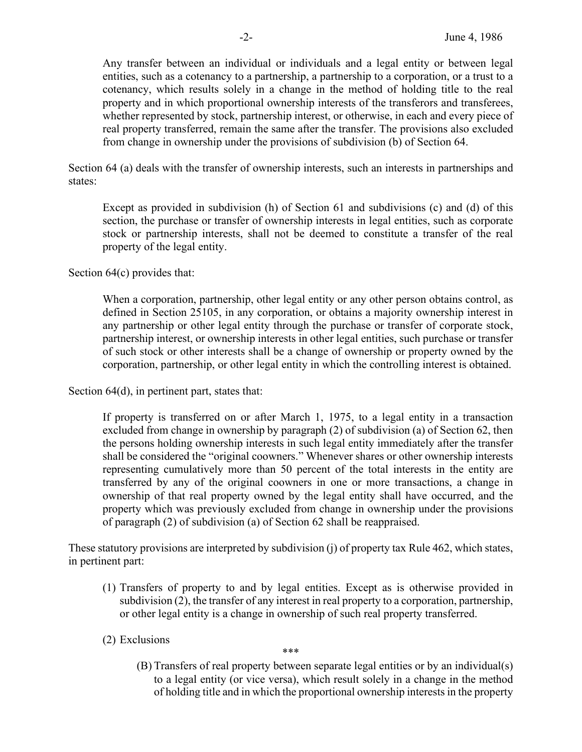Any transfer between an individual or individuals and a legal entity or between legal entities, such as a cotenancy to a partnership, a partnership to a corporation, or a trust to a cotenancy, which results solely in a change in the method of holding title to the real property and in which proportional ownership interests of the transferors and transferees, whether represented by stock, partnership interest, or otherwise, in each and every piece of real property transferred, remain the same after the transfer. The provisions also excluded from change in ownership under the provisions of subdivision (b) of Section 64.

Section 64 (a) deals with the transfer of ownership interests, such an interests in partnerships and states:

Except as provided in subdivision (h) of Section 61 and subdivisions (c) and (d) of this section, the purchase or transfer of ownership interests in legal entities, such as corporate stock or partnership interests, shall not be deemed to constitute a transfer of the real property of the legal entity.

Section 64(c) provides that:

When a corporation, partnership, other legal entity or any other person obtains control, as defined in Section 25105, in any corporation, or obtains a majority ownership interest in any partnership or other legal entity through the purchase or transfer of corporate stock, partnership interest, or ownership interests in other legal entities, such purchase or transfer of such stock or other interests shall be a change of ownership or property owned by the corporation, partnership, or other legal entity in which the controlling interest is obtained.

Section 64(d), in pertinent part, states that:

If property is transferred on or after March 1, 1975, to a legal entity in a transaction excluded from change in ownership by paragraph (2) of subdivision (a) of Section 62, then the persons holding ownership interests in such legal entity immediately after the transfer shall be considered the "original coowners." Whenever shares or other ownership interests representing cumulatively more than 50 percent of the total interests in the entity are transferred by any of the original coowners in one or more transactions, a change in ownership of that real property owned by the legal entity shall have occurred, and the property which was previously excluded from change in ownership under the provisions of paragraph (2) of subdivision (a) of Section 62 shall be reappraised.

These statutory provisions are interpreted by subdivision (j) of property tax Rule 462, which states, in pertinent part:

- (1) Transfers of property to and by legal entities. Except as is otherwise provided in subdivision (2), the transfer of any interest in real property to a corporation, partnership, or other legal entity is a change in ownership of such real property transferred.
- (2) Exclusions

\*\*\*

(B) Transfers of real property between separate legal entities or by an individual(s) to a legal entity (or vice versa), which result solely in a change in the method of holding title and in which the proportional ownership interests in the property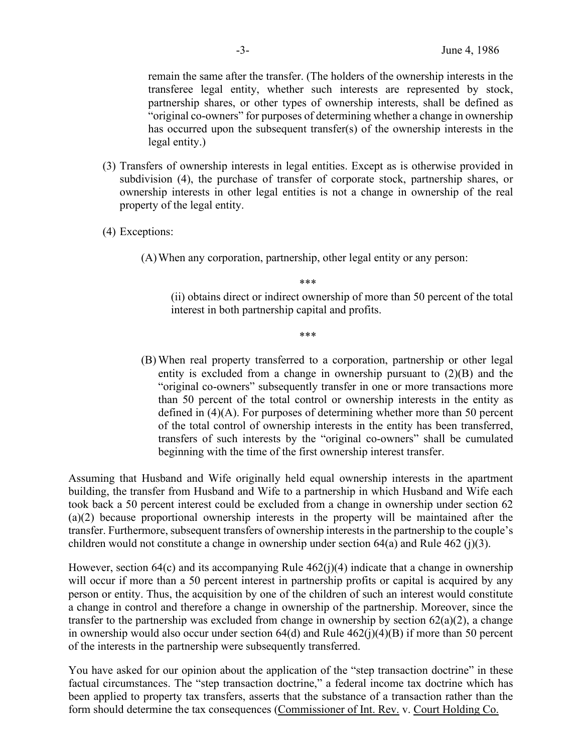remain the same after the transfer. (The holders of the ownership interests in the transferee legal entity, whether such interests are represented by stock, partnership shares, or other types of ownership interests, shall be defined as "original co-owners" for purposes of determining whether a change in ownership has occurred upon the subsequent transfer(s) of the ownership interests in the legal entity.)

- (3) Transfers of ownership interests in legal entities. Except as is otherwise provided in subdivision (4), the purchase of transfer of corporate stock, partnership shares, or ownership interests in other legal entities is not a change in ownership of the real property of the legal entity.
- (4) Exceptions:

(A)When any corporation, partnership, other legal entity or any person:

\*\*\*

(ii) obtains direct or indirect ownership of more than 50 percent of the total interest in both partnership capital and profits.

\*\*\*

(B) When real property transferred to a corporation, partnership or other legal entity is excluded from a change in ownership pursuant to (2)(B) and the "original co-owners" subsequently transfer in one or more transactions more than 50 percent of the total control or ownership interests in the entity as defined in (4)(A). For purposes of determining whether more than 50 percent of the total control of ownership interests in the entity has been transferred, transfers of such interests by the "original co-owners" shall be cumulated beginning with the time of the first ownership interest transfer.

Assuming that Husband and Wife originally held equal ownership interests in the apartment building, the transfer from Husband and Wife to a partnership in which Husband and Wife each took back a 50 percent interest could be excluded from a change in ownership under section 62 (a)(2) because proportional ownership interests in the property will be maintained after the transfer. Furthermore, subsequent transfers of ownership interests in the partnership to the couple's children would not constitute a change in ownership under section 64(a) and Rule 462 (j)(3).

However, section 64(c) and its accompanying Rule 462(j)(4) indicate that a change in ownership will occur if more than a 50 percent interest in partnership profits or capital is acquired by any person or entity. Thus, the acquisition by one of the children of such an interest would constitute a change in control and therefore a change in ownership of the partnership. Moreover, since the transfer to the partnership was excluded from change in ownership by section  $62(a)(2)$ , a change in ownership would also occur under section  $64(d)$  and Rule  $462(j)(4)(B)$  if more than 50 percent of the interests in the partnership were subsequently transferred.

You have asked for our opinion about the application of the "step transaction doctrine" in these factual circumstances. The "step transaction doctrine," a federal income tax doctrine which has been applied to property tax transfers, asserts that the substance of a transaction rather than the form should determine the tax consequences (Commissioner of Int. Rev. v. Court Holding Co.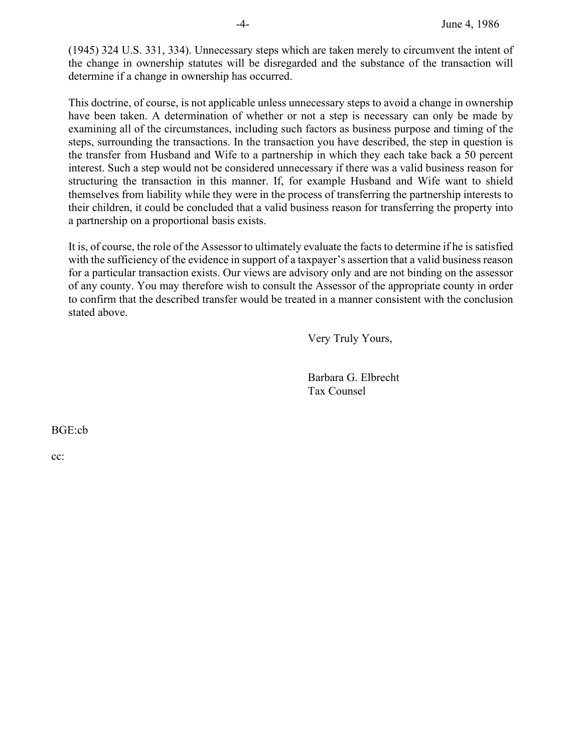(1945) 324 U.S. 331, 334). Unnecessary steps which are taken merely to circumvent the intent of the change in ownership statutes will be disregarded and the substance of the transaction will determine if a change in ownership has occurred.

This doctrine, of course, is not applicable unless unnecessary steps to avoid a change in ownership have been taken. A determination of whether or not a step is necessary can only be made by examining all of the circumstances, including such factors as business purpose and timing of the steps, surrounding the transactions. In the transaction you have described, the step in question is the transfer from Husband and Wife to a partnership in which they each take back a 50 percent interest. Such a step would not be considered unnecessary if there was a valid business reason for structuring the transaction in this manner. If, for example Husband and Wife want to shield themselves from liability while they were in the process of transferring the partnership interests to their children, it could be concluded that a valid business reason for transferring the property into a partnership on a proportional basis exists.

It is, of course, the role of the Assessor to ultimately evaluate the facts to determine if he is satisfied with the sufficiency of the evidence in support of a taxpayer's assertion that a valid business reason for a particular transaction exists. Our views are advisory only and are not binding on the assessor of any county. You may therefore wish to consult the Assessor of the appropriate county in order to confirm that the described transfer would be treated in a manner consistent with the conclusion stated above.

Very Truly Yours,

Barbara G. Elbrecht Tax Counsel

BGE:cb

cc: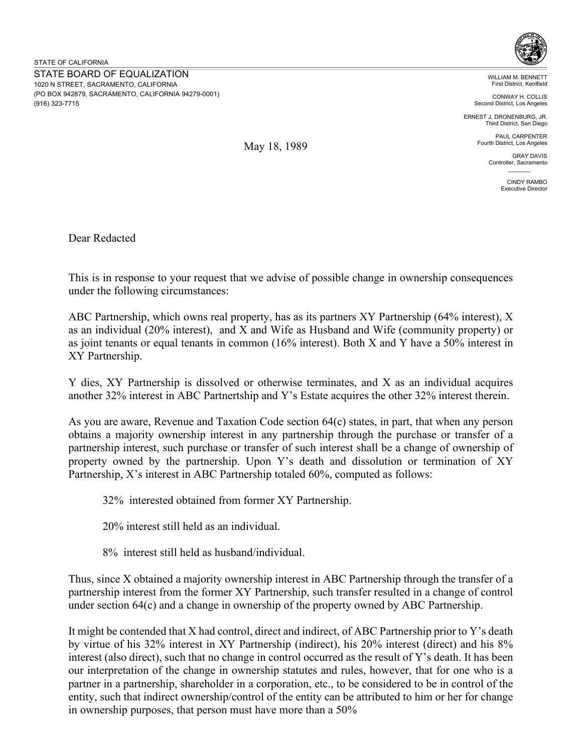

WILLIAM M. BENNETT First District, Kentfield

CONWAY H. COLLIS Second District, Los Angeles

ERNEST J. DRONENBURG, JR. Third District, San Diego

> PAUL CARPENTER Fourth District, Los Angeles

> > GRAY DAVIS Controller, Sacramento  $\mathcal{L}=\mathcal{L}$

> > > CINDY RAMBO Executive Director

Dear Redacted

This is in response to your request that we advise of possible change in ownership consequences under the following circumstances:

May 18, 1989

ABC Partnership, which owns real property, has as its partners XY Partnership (64% interest), X as an individual (20% interest), and X and Wife as Husband and Wife (community property) or as joint tenants or equal tenants in common (16% interest). Both X and Y have a 50% interest in XY Partnership.

Y dies, XY Partnership is dissolved or otherwise terminates, and X as an individual acquires another 32% interest in ABC Partnertship and Y's Estate acquires the other 32% interest therein.

As you are aware, Revenue and Taxation Code section 64(c) states, in part, that when any person obtains a majority ownership interest in any partnership through the purchase or transfer of a partnership interest, such purchase or transfer of such interest shall be a change of ownership of property owned by the partnership. Upon Y's death and dissolution or termination of XY Partnership, X's interest in ABC Partnership totaled 60%, computed as follows:

32% interested obtained from former XY Partnership.

20% interest still held as an individual.

8% interest still held as husband/individual.

Thus, since X obtained a majority ownership interest in ABC Partnership through the transfer of a partnership interest from the former XY Partnership, such transfer resulted in a change of control under section 64(c) and a change in ownership of the property owned by ABC Partnership.

It might be contended that X had control, direct and indirect, of ABC Partnership prior to Y's death by virtue of his 32% interest in XY Partnership (indirect), his 20% interest (direct) and his 8% interest (also direct), such that no change in control occurred as the result of Y's death. It has been our interpretation of the change in ownership statutes and rules, however, that for one who is a partner in a partnership, shareholder in a corporation, etc., to be considered to be in control of the entity, such that indirect ownership/control of the entity can be attributed to him or her for change in ownership purposes, that person must have more than a 50%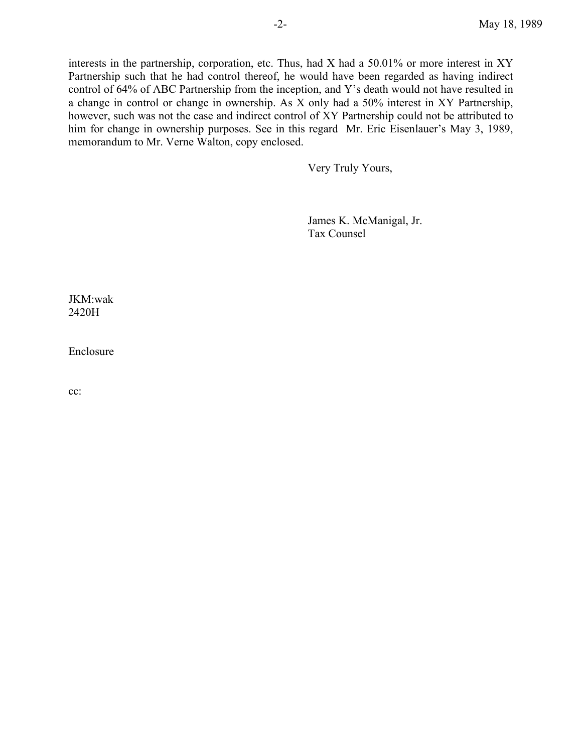interests in the partnership, corporation, etc. Thus, had X had a 50.01% or more interest in XY Partnership such that he had control thereof, he would have been regarded as having indirect control of 64% of ABC Partnership from the inception, and Y's death would not have resulted in a change in control or change in ownership. As X only had a 50% interest in XY Partnership, however, such was not the case and indirect control of XY Partnership could not be attributed to him for change in ownership purposes. See in this regard Mr. Eric Eisenlauer's May 3, 1989, memorandum to Mr. Verne Walton, copy enclosed.

Very Truly Yours,

James K. McManigal, Jr. Tax Counsel

JKM:wak 2420H

Enclosure

cc: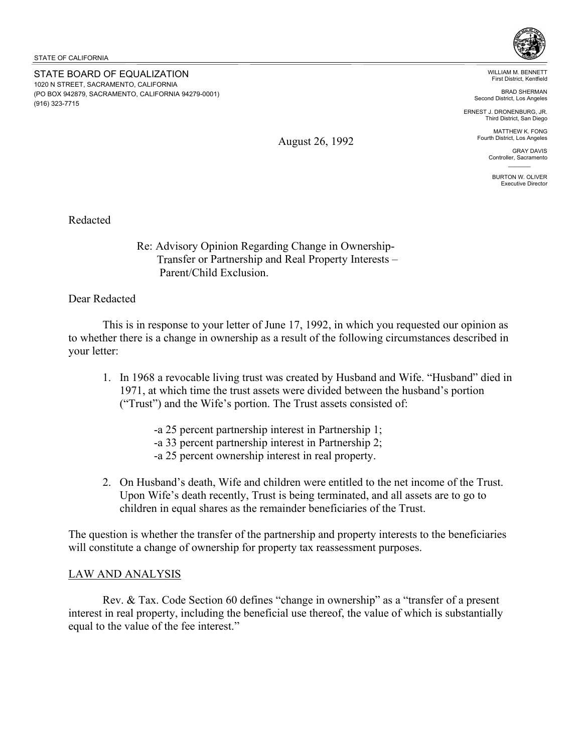STATE BOARD OF EQUALIZATION 1020 N STREET, SACRAMENTO, CALIFORNIA (PO BOX 942879, SACRAMENTO, CALIFORNIA 94279-0001) (916) 323-7715



WILLIAM M. BENNETT First District, Kentfield

BRAD SHERMAN Second District, Los Angeles

ERNEST J. DRONENBURG, JR. Third District, San Diego

> MATTHEW K. FONG Fourth District, Los Angeles

> > GRAY DAVIS Controller, Sacramento  $\mathcal{L}=\mathcal{L}$

BURTON W. OLIVER Executive Director

Redacted

Re: Advisory Opinion Regarding Change in Ownership- Transfer or Partnership and Real Property Interests – Parent/Child Exclusion.

Dear Redacted

 This is in response to your letter of June 17, 1992, in which you requested our opinion as to whether there is a change in ownership as a result of the following circumstances described in your letter:

- 1. In 1968 a revocable living trust was created by Husband and Wife. "Husband" died in 1971, at which time the trust assets were divided between the husband's portion ("Trust") and the Wife's portion. The Trust assets consisted of:
	- -a 25 percent partnership interest in Partnership 1;
	- -a 33 percent partnership interest in Partnership 2;
	- -a 25 percent ownership interest in real property.
- 2. On Husband's death, Wife and children were entitled to the net income of the Trust. Upon Wife's death recently, Trust is being terminated, and all assets are to go to children in equal shares as the remainder beneficiaries of the Trust.

The question is whether the transfer of the partnership and property interests to the beneficiaries will constitute a change of ownership for property tax reassessment purposes.

## LAW AND ANALYSIS

 Rev. & Tax. Code Section 60 defines "change in ownership" as a "transfer of a present interest in real property, including the beneficial use thereof, the value of which is substantially equal to the value of the fee interest."

August 26, 1992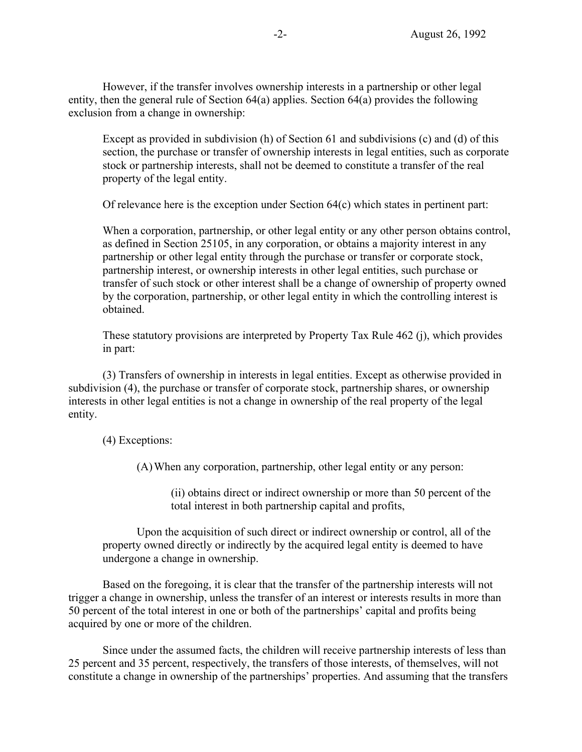However, if the transfer involves ownership interests in a partnership or other legal entity, then the general rule of Section 64(a) applies. Section 64(a) provides the following exclusion from a change in ownership:

Except as provided in subdivision (h) of Section 61 and subdivisions (c) and (d) of this section, the purchase or transfer of ownership interests in legal entities, such as corporate stock or partnership interests, shall not be deemed to constitute a transfer of the real property of the legal entity.

Of relevance here is the exception under Section 64(c) which states in pertinent part:

When a corporation, partnership, or other legal entity or any other person obtains control, as defined in Section 25105, in any corporation, or obtains a majority interest in any partnership or other legal entity through the purchase or transfer or corporate stock, partnership interest, or ownership interests in other legal entities, such purchase or transfer of such stock or other interest shall be a change of ownership of property owned by the corporation, partnership, or other legal entity in which the controlling interest is obtained.

These statutory provisions are interpreted by Property Tax Rule 462 (j), which provides in part:

(3) Transfers of ownership in interests in legal entities. Except as otherwise provided in subdivision (4), the purchase or transfer of corporate stock, partnership shares, or ownership interests in other legal entities is not a change in ownership of the real property of the legal entity.

(4) Exceptions:

(A)When any corporation, partnership, other legal entity or any person:

(ii) obtains direct or indirect ownership or more than 50 percent of the total interest in both partnership capital and profits,

Upon the acquisition of such direct or indirect ownership or control, all of the property owned directly or indirectly by the acquired legal entity is deemed to have undergone a change in ownership.

 Based on the foregoing, it is clear that the transfer of the partnership interests will not trigger a change in ownership, unless the transfer of an interest or interests results in more than 50 percent of the total interest in one or both of the partnerships' capital and profits being acquired by one or more of the children.

 Since under the assumed facts, the children will receive partnership interests of less than 25 percent and 35 percent, respectively, the transfers of those interests, of themselves, will not constitute a change in ownership of the partnerships' properties. And assuming that the transfers